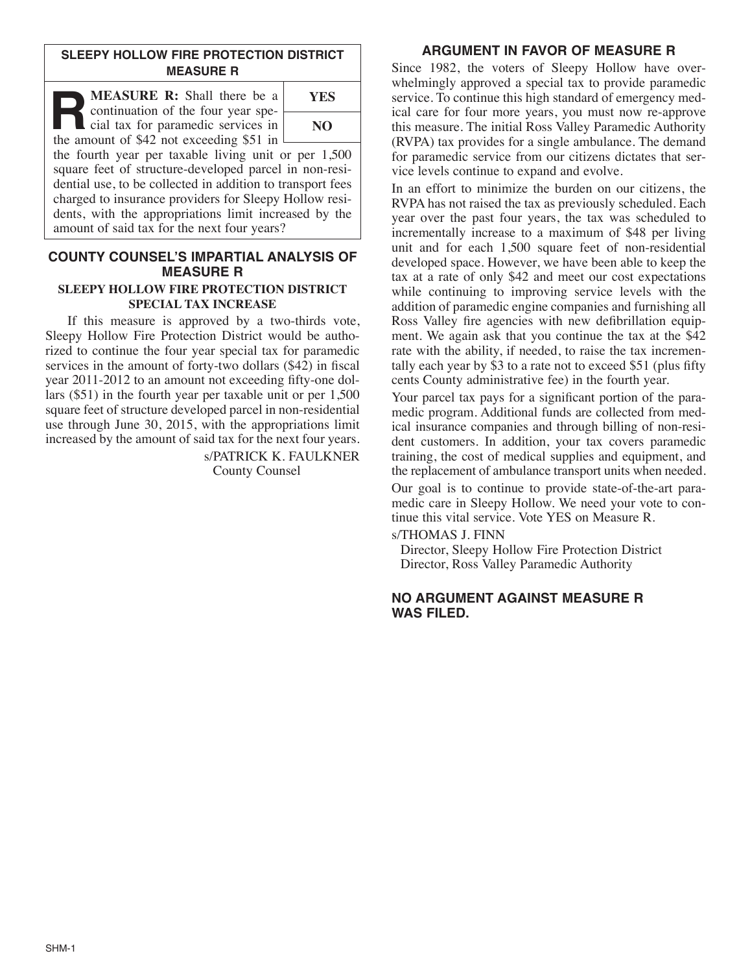# **SLEEPY HOLLOW FIRE PROTECTION DISTRICT MEASURE R**

**MEASURE** R: Shall there be a continuation of the four year special tax for paramedic services in the amount of \$42 not exceeding \$51 in

**YES NO**

the fourth year per taxable living unit or per 1,500 square feet of structure-developed parcel in non-residential use, to be collected in addition to transport fees charged to insurance providers for Sleepy Hollow residents, with the appropriations limit increased by the amount of said tax for the next four years?

# **COUNTY COUNSEL'S IMPARTIAL ANALYSIS OF MEASURE R**

#### **SLEEPY HOLLOW FIRE PROTECTION DISTRICT SPECIAL TAX INCREASE**

If this measure is approved by a two-thirds vote, Sleepy Hollow Fire Protection District would be authorized to continue the four year special tax for paramedic services in the amount of forty-two dollars (\$42) in fiscal year 2011-2012 to an amount not exceeding fifty-one dollars (\$51) in the fourth year per taxable unit or per 1,500 square feet of structure developed parcel in non-residential use through June 30, 2015, with the appropriations limit increased by the amount of said tax for the next four years.

> s/PATRICK K. FAULKNER County Counsel

# **ARGUMENT IN FAVOR OF MEASURE R**

Since 1982, the voters of Sleepy Hollow have overwhelmingly approved a special tax to provide paramedic service. To continue this high standard of emergency medical care for four more years, you must now re-approve this measure. The initial Ross Valley Paramedic Authority (RVPA) tax provides for a single ambulance. The demand for paramedic service from our citizens dictates that service levels continue to expand and evolve.

In an effort to minimize the burden on our citizens, the RVPA has not raised the tax as previously scheduled. Each year over the past four years, the tax was scheduled to incrementally increase to a maximum of \$48 per living unit and for each 1,500 square feet of non-residential developed space. However, we have been able to keep the tax at a rate of only \$42 and meet our cost expectations while continuing to improving service levels with the addition of paramedic engine companies and furnishing all Ross Valley fire agencies with new defibrillation equipment. We again ask that you continue the tax at the \$42 rate with the ability, if needed, to raise the tax incrementally each year by  $\dot{S}$  to a rate not to exceed  $\$$ 51 (plus fifty cents County administrative fee) in the fourth year.

Your parcel tax pays for a significant portion of the paramedic program. Additional funds are collected from medical insurance companies and through billing of non-resident customers. In addition, your tax covers paramedic training, the cost of medical supplies and equipment, and the replacement of ambulance transport units when needed.

Our goal is to continue to provide state-of-the-art paramedic care in Sleepy Hollow. We need your vote to continue this vital service. Vote YES on Measure R.

s/THOMAS J. FINN

Director, Sleepy Hollow Fire Protection District Director, Ross Valley Paramedic Authority

### **NO ARGUMENT AGAINST MEASURE R WAS FILED.**